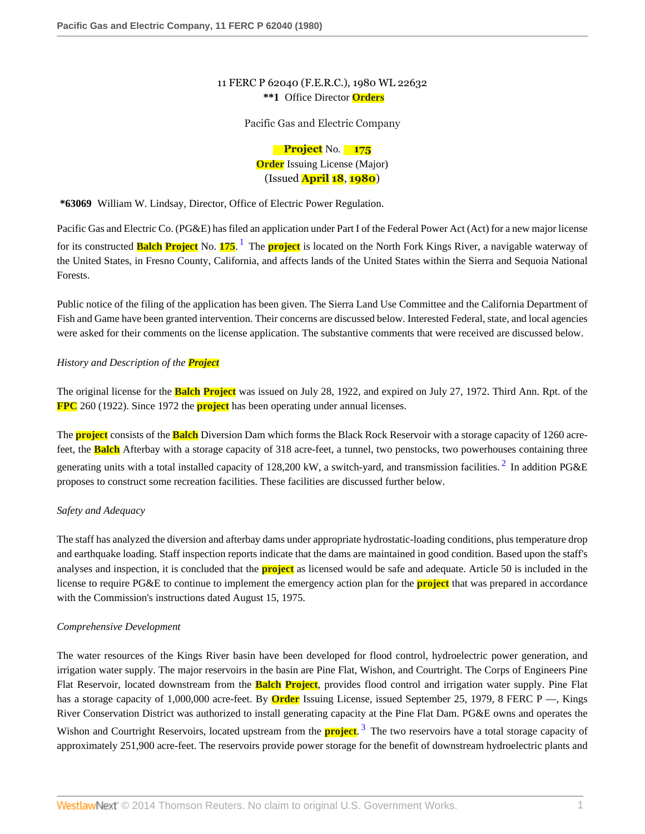# 11 FERC P 62040 (F.E.R.C.), 1980 WL 22632 **\*\*1** Office Director **Orders**

Pacific Gas and Electric Company

<span id="page-0-1"></span><span id="page-0-0"></span>**Project** No. **175 Order** Issuing License (Major) (Issued **April 18**, **1980**)

**\*63069** William W. Lindsay, Director, Office of Electric Power Regulation.

Pacific Gas and Electric Co. (PG&E) has filed an application under Part I of the Federal Power Act (Act) for a new major license for its constructed **Balch Project** No. **175**. [1](#page-11-0) The **project** is located on the North Fork Kings River, a navigable waterway of the United States, in Fresno County, California, and affects lands of the United States within the Sierra and Sequoia National Forests.

Public notice of the filing of the application has been given. The Sierra Land Use Committee and the California Department of Fish and Game have been granted intervention. Their concerns are discussed below. Interested Federal, state, and local agencies were asked for their comments on the license application. The substantive comments that were received are discussed below.

# *History and Description of the Project*

The original license for the **Balch Project** was issued on July 28, 1922, and expired on July 27, 1972. Third Ann. Rpt. of the **FPC** 260 (1922). Since 1972 the **project** has been operating under annual licenses.

The **project** consists of the **Balch** Diversion Dam which forms the Black Rock Reservoir with a storage capacity of 1260 acrefeet, the **Balch** Afterbay with a storage capacity of 318 acre-feet, a tunnel, two penstocks, two powerhouses containing three generating units with a total installed capacity of 1[2](#page-11-1)8,200 kW, a switch-yard, and transmission facilities.  $2 \text{ In addition PG\&E}$ proposes to construct some recreation facilities. These facilities are discussed further below.

# *Safety and Adequacy*

The staff has analyzed the diversion and afterbay dams under appropriate hydrostatic-loading conditions, plus temperature drop and earthquake loading. Staff inspection reports indicate that the dams are maintained in good condition. Based upon the staff's analyses and inspection, it is concluded that the **project** as licensed would be safe and adequate. Article 50 is included in the license to require PG&E to continue to implement the emergency action plan for the **project** that was prepared in accordance with the Commission's instructions dated August 15, 1975.

# *Comprehensive Development*

<span id="page-0-2"></span>The water resources of the Kings River basin have been developed for flood control, hydroelectric power generation, and irrigation water supply. The major reservoirs in the basin are Pine Flat, Wishon, and Courtright. The Corps of Engineers Pine Flat Reservoir, located downstream from the **Balch Project**, provides flood control and irrigation water supply. Pine Flat has a storage capacity of 1,000,000 acre-feet. By **Order** Issuing License, issued September 25, 1979, 8 FERC P —, Kings River Conservation District was authorized to install generating capacity at the Pine Flat Dam. PG&E owns and operates the Wishon and Courtright Reservoirs, located upstream from the **project**. [3](#page-11-2) The two reservoirs have a total storage capacity of approximately 251,900 acre-feet. The reservoirs provide power storage for the benefit of downstream hydroelectric plants and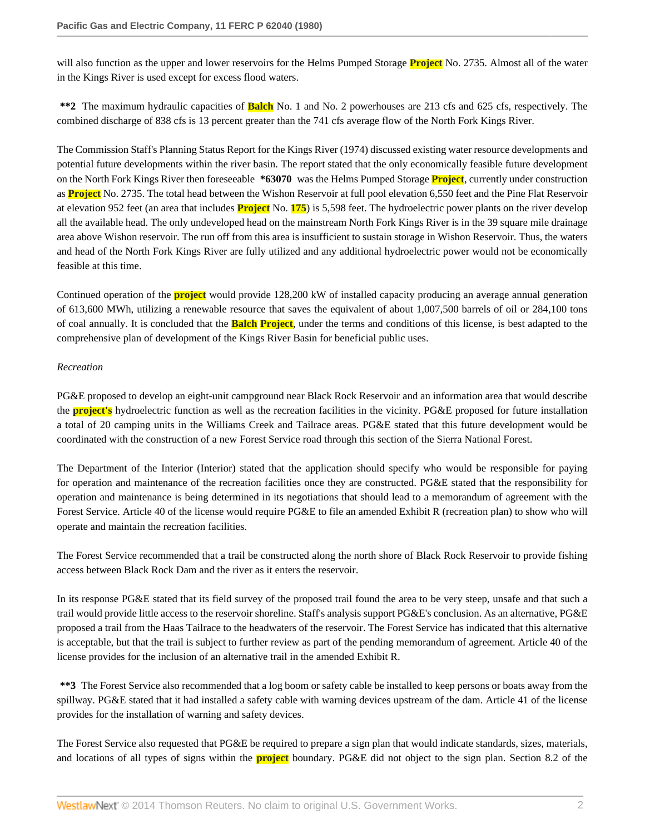will also function as the upper and lower reservoirs for the Helms Pumped Storage **Project** No. 2735. Almost all of the water in the Kings River is used except for excess flood waters.

**\*\*2** The maximum hydraulic capacities of **Balch** No. 1 and No. 2 powerhouses are 213 cfs and 625 cfs, respectively. The combined discharge of 838 cfs is 13 percent greater than the 741 cfs average flow of the North Fork Kings River.

The Commission Staff's Planning Status Report for the Kings River (1974) discussed existing water resource developments and potential future developments within the river basin. The report stated that the only economically feasible future development on the North Fork Kings River then foreseeable **\*63070** was the Helms Pumped Storage **Project**, currently under construction as **Project** No. 2735. The total head between the Wishon Reservoir at full pool elevation 6,550 feet and the Pine Flat Reservoir at elevation 952 feet (an area that includes **Project** No. **175**) is 5,598 feet. The hydroelectric power plants on the river develop all the available head. The only undeveloped head on the mainstream North Fork Kings River is in the 39 square mile drainage area above Wishon reservoir. The run off from this area is insufficient to sustain storage in Wishon Reservoir. Thus, the waters and head of the North Fork Kings River are fully utilized and any additional hydroelectric power would not be economically feasible at this time.

Continued operation of the **project** would provide 128,200 kW of installed capacity producing an average annual generation of 613,600 MWh, utilizing a renewable resource that saves the equivalent of about 1,007,500 barrels of oil or 284,100 tons of coal annually. It is concluded that the **Balch Project**, under the terms and conditions of this license, is best adapted to the comprehensive plan of development of the Kings River Basin for beneficial public uses.

## *Recreation*

PG&E proposed to develop an eight-unit campground near Black Rock Reservoir and an information area that would describe the **project's** hydroelectric function as well as the recreation facilities in the vicinity. PG&E proposed for future installation a total of 20 camping units in the Williams Creek and Tailrace areas. PG&E stated that this future development would be coordinated with the construction of a new Forest Service road through this section of the Sierra National Forest.

The Department of the Interior (Interior) stated that the application should specify who would be responsible for paying for operation and maintenance of the recreation facilities once they are constructed. PG&E stated that the responsibility for operation and maintenance is being determined in its negotiations that should lead to a memorandum of agreement with the Forest Service. Article 40 of the license would require PG&E to file an amended Exhibit R (recreation plan) to show who will operate and maintain the recreation facilities.

The Forest Service recommended that a trail be constructed along the north shore of Black Rock Reservoir to provide fishing access between Black Rock Dam and the river as it enters the reservoir.

In its response PG&E stated that its field survey of the proposed trail found the area to be very steep, unsafe and that such a trail would provide little access to the reservoir shoreline. Staff's analysis support PG&E's conclusion. As an alternative, PG&E proposed a trail from the Haas Tailrace to the headwaters of the reservoir. The Forest Service has indicated that this alternative is acceptable, but that the trail is subject to further review as part of the pending memorandum of agreement. Article 40 of the license provides for the inclusion of an alternative trail in the amended Exhibit R.

**\*\*3** The Forest Service also recommended that a log boom or safety cable be installed to keep persons or boats away from the spillway. PG&E stated that it had installed a safety cable with warning devices upstream of the dam. Article 41 of the license provides for the installation of warning and safety devices.

The Forest Service also requested that PG&E be required to prepare a sign plan that would indicate standards, sizes, materials, and locations of all types of signs within the **project** boundary. PG&E did not object to the sign plan. Section 8.2 of the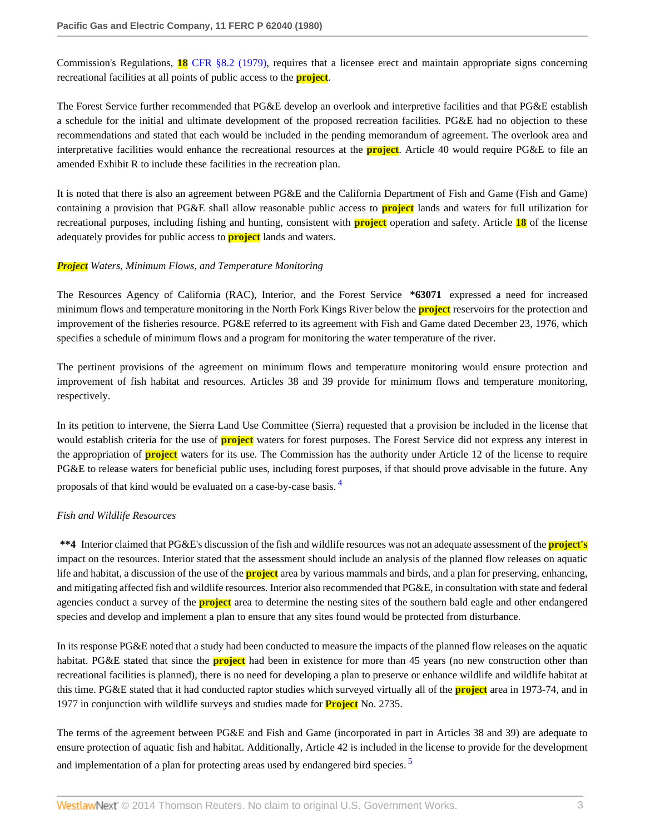Commission's Regulations, **18** [CFR §8.2 \(1979\)](http://www.westlaw.com/Link/Document/FullText?findType=L&pubNum=1000547&cite=18CFRS8.2&originatingDoc=I125a7288393c11db80c2e56cac103088&refType=LQ&originationContext=document&vr=3.0&rs=cblt1.0&transitionType=DocumentItem&contextData=(sc.Search)), requires that a licensee erect and maintain appropriate signs concerning recreational facilities at all points of public access to the **project**.

The Forest Service further recommended that PG&E develop an overlook and interpretive facilities and that PG&E establish a schedule for the initial and ultimate development of the proposed recreation facilities. PG&E had no objection to these recommendations and stated that each would be included in the pending memorandum of agreement. The overlook area and interpretative facilities would enhance the recreational resources at the **project**. Article 40 would require PG&E to file an amended Exhibit R to include these facilities in the recreation plan.

It is noted that there is also an agreement between PG&E and the California Department of Fish and Game (Fish and Game) containing a provision that PG&E shall allow reasonable public access to **project** lands and waters for full utilization for recreational purposes, including fishing and hunting, consistent with **project** operation and safety. Article **18** of the license adequately provides for public access to **project** lands and waters.

## *Project Waters, Minimum Flows, and Temperature Monitoring*

The Resources Agency of California (RAC), Interior, and the Forest Service **\*63071** expressed a need for increased minimum flows and temperature monitoring in the North Fork Kings River below the **project** reservoirs for the protection and improvement of the fisheries resource. PG&E referred to its agreement with Fish and Game dated December 23, 1976, which specifies a schedule of minimum flows and a program for monitoring the water temperature of the river.

The pertinent provisions of the agreement on minimum flows and temperature monitoring would ensure protection and improvement of fish habitat and resources. Articles 38 and 39 provide for minimum flows and temperature monitoring, respectively.

In its petition to intervene, the Sierra Land Use Committee (Sierra) requested that a provision be included in the license that would establish criteria for the use of **project** waters for forest purposes. The Forest Service did not express any interest in the appropriation of **project** waters for its use. The Commission has the authority under Article 12 of the license to require PG&E to release waters for beneficial public uses, including forest purposes, if that should prove advisable in the future. Any proposals of that kind would be evaluated on a case-by-case basis. [4](#page-11-3)

# <span id="page-2-0"></span>*Fish and Wildlife Resources*

**\*\*4** Interior claimed that PG&E's discussion of the fish and wildlife resources was not an adequate assessment of the **project's** impact on the resources. Interior stated that the assessment should include an analysis of the planned flow releases on aquatic life and habitat, a discussion of the use of the **project** area by various mammals and birds, and a plan for preserving, enhancing, and mitigating affected fish and wildlife resources. Interior also recommended that PG&E, in consultation with state and federal agencies conduct a survey of the **project** area to determine the nesting sites of the southern bald eagle and other endangered species and develop and implement a plan to ensure that any sites found would be protected from disturbance.

In its response PG&E noted that a study had been conducted to measure the impacts of the planned flow releases on the aquatic habitat. PG&E stated that since the **project** had been in existence for more than 45 years (no new construction other than recreational facilities is planned), there is no need for developing a plan to preserve or enhance wildlife and wildlife habitat at this time. PG&E stated that it had conducted raptor studies which surveyed virtually all of the **project** area in 1973-74, and in 1977 in conjunction with wildlife surveys and studies made for **Project** No. 2735.

<span id="page-2-1"></span>The terms of the agreement between PG&E and Fish and Game (incorporated in part in Articles 38 and 39) are adequate to ensure protection of aquatic fish and habitat. Additionally, Article 42 is included in the license to provide for the development and implementation of a plan for protecting areas used by endangered bird species.<sup>[5](#page-11-4)</sup>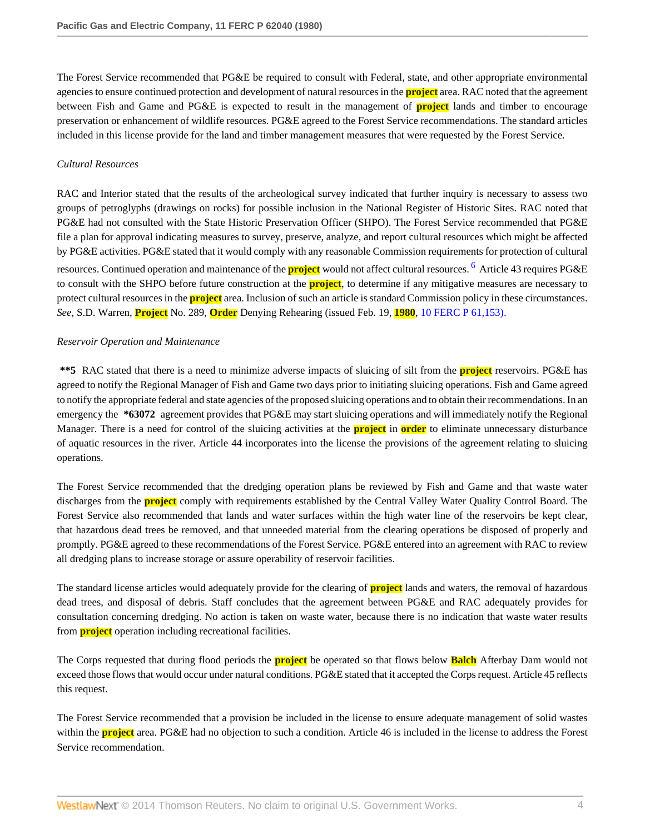The Forest Service recommended that PG&E be required to consult with Federal, state, and other appropriate environmental agencies to ensure continued protection and development of natural resources in the **project** area. RAC noted that the agreement between Fish and Game and PG&E is expected to result in the management of **project** lands and timber to encourage preservation or enhancement of wildlife resources. PG&E agreed to the Forest Service recommendations. The standard articles included in this license provide for the land and timber management measures that were requested by the Forest Service.

## *Cultural Resources*

<span id="page-3-0"></span>RAC and Interior stated that the results of the archeological survey indicated that further inquiry is necessary to assess two groups of petroglyphs (drawings on rocks) for possible inclusion in the National Register of Historic Sites. RAC noted that PG&E had not consulted with the State Historic Preservation Officer (SHPO). The Forest Service recommended that PG&E file a plan for approval indicating measures to survey, preserve, analyze, and report cultural resources which might be affected by PG&E activities. PG&E stated that it would comply with any reasonable Commission requirements for protection of cultural resources. Continued operation and maintenance of the **project** would not affect cultural resources. [6](#page-11-5) Article 43 requires PG&E to consult with the SHPO before future construction at the **project**, to determine if any mitigative measures are necessary to protect cultural resources in the **project** area. Inclusion of such an article is standard Commission policy in these circumstances. *See,* S.D. Warren, **Project** No. 289, **Order** Denying Rehearing (issued Feb. 19, **1980**, [10 FERC P 61,153\).](http://www.westlaw.com/Link/Document/FullText?findType=Y&serNum=1980171390&pubNum=920&originationContext=document&vr=3.0&rs=cblt1.0&transitionType=DocumentItem&contextData=(sc.Search))

## *Reservoir Operation and Maintenance*

**\*\*5** RAC stated that there is a need to minimize adverse impacts of sluicing of silt from the **project** reservoirs. PG&E has agreed to notify the Regional Manager of Fish and Game two days prior to initiating sluicing operations. Fish and Game agreed to notify the appropriate federal and state agencies of the proposed sluicing operations and to obtain their recommendations. In an emergency the **\*63072** agreement provides that PG&E may start sluicing operations and will immediately notify the Regional Manager. There is a need for control of the sluicing activities at the **project** in **order** to eliminate unnecessary disturbance of aquatic resources in the river. Article 44 incorporates into the license the provisions of the agreement relating to sluicing operations.

The Forest Service recommended that the dredging operation plans be reviewed by Fish and Game and that waste water discharges from the **project** comply with requirements established by the Central Valley Water Quality Control Board. The Forest Service also recommended that lands and water surfaces within the high water line of the reservoirs be kept clear, that hazardous dead trees be removed, and that unneeded material from the clearing operations be disposed of properly and promptly. PG&E agreed to these recommendations of the Forest Service. PG&E entered into an agreement with RAC to review all dredging plans to increase storage or assure operability of reservoir facilities.

The standard license articles would adequately provide for the clearing of **project** lands and waters, the removal of hazardous dead trees, and disposal of debris. Staff concludes that the agreement between PG&E and RAC adequately provides for consultation concerning dredging. No action is taken on waste water, because there is no indication that waste water results from **project** operation including recreational facilities.

The Corps requested that during flood periods the **project** be operated so that flows below **Balch** Afterbay Dam would not exceed those flows that would occur under natural conditions. PG&E stated that it accepted the Corps request. Article 45 reflects this request.

The Forest Service recommended that a provision be included in the license to ensure adequate management of solid wastes within the **project** area. PG&E had no objection to such a condition. Article 46 is included in the license to address the Forest Service recommendation.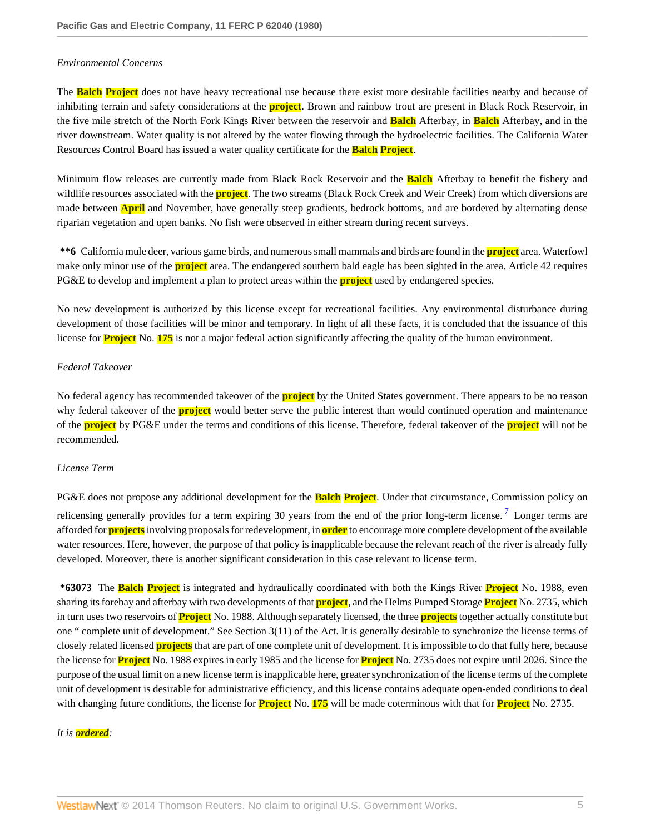#### *Environmental Concerns*

The **Balch Project** does not have heavy recreational use because there exist more desirable facilities nearby and because of inhibiting terrain and safety considerations at the **project**. Brown and rainbow trout are present in Black Rock Reservoir, in the five mile stretch of the North Fork Kings River between the reservoir and **Balch** Afterbay, in **Balch** Afterbay, and in the river downstream. Water quality is not altered by the water flowing through the hydroelectric facilities. The California Water Resources Control Board has issued a water quality certificate for the **Balch Project**.

Minimum flow releases are currently made from Black Rock Reservoir and the **Balch** Afterbay to benefit the fishery and wildlife resources associated with the **project**. The two streams (Black Rock Creek and Weir Creek) from which diversions are made between **April** and November, have generally steep gradients, bedrock bottoms, and are bordered by alternating dense riparian vegetation and open banks. No fish were observed in either stream during recent surveys.

**\*\*6** California mule deer, various game birds, and numerous small mammals and birds are found in the **project** area. Waterfowl make only minor use of the **project** area. The endangered southern bald eagle has been sighted in the area. Article 42 requires PG&E to develop and implement a plan to protect areas within the **project** used by endangered species.

No new development is authorized by this license except for recreational facilities. Any environmental disturbance during development of those facilities will be minor and temporary. In light of all these facts, it is concluded that the issuance of this license for **Project** No. **175** is not a major federal action significantly affecting the quality of the human environment.

#### *Federal Takeover*

No federal agency has recommended takeover of the **project** by the United States government. There appears to be no reason why federal takeover of the **project** would better serve the public interest than would continued operation and maintenance of the **project** by PG&E under the terms and conditions of this license. Therefore, federal takeover of the **project** will not be recommended.

#### *License Term*

<span id="page-4-0"></span>PG&E does not propose any additional development for the **Balch Project**. Under that circumstance, Commission policy on relicensing generally provides for a term expiring 30 years from the end of the prior long-term license.<sup>[7](#page-11-6)</sup> Longer terms are afforded for **projects** involving proposals for redevelopment, in **order** to encourage more complete development of the available water resources. Here, however, the purpose of that policy is inapplicable because the relevant reach of the river is already fully developed. Moreover, there is another significant consideration in this case relevant to license term.

**\*63073** The **Balch Project** is integrated and hydraulically coordinated with both the Kings River **Project** No. 1988, even sharing its forebay and afterbay with two developments of that **project**, and the Helms Pumped Storage **Project** No. 2735, which in turn uses two reservoirs of **Project** No. 1988. Although separately licensed, the three **projects** together actually constitute but one " complete unit of development." See Section 3(11) of the Act. It is generally desirable to synchronize the license terms of closely related licensed **projects** that are part of one complete unit of development. It is impossible to do that fully here, because the license for **Project** No. 1988 expires in early 1985 and the license for **Project** No. 2735 does not expire until 2026. Since the purpose of the usual limit on a new license term is inapplicable here, greater synchronization of the license terms of the complete unit of development is desirable for administrative efficiency, and this license contains adequate open-ended conditions to deal with changing future conditions, the license for **Project** No. **175** will be made coterminous with that for **Project** No. 2735.

#### *It is ordered:*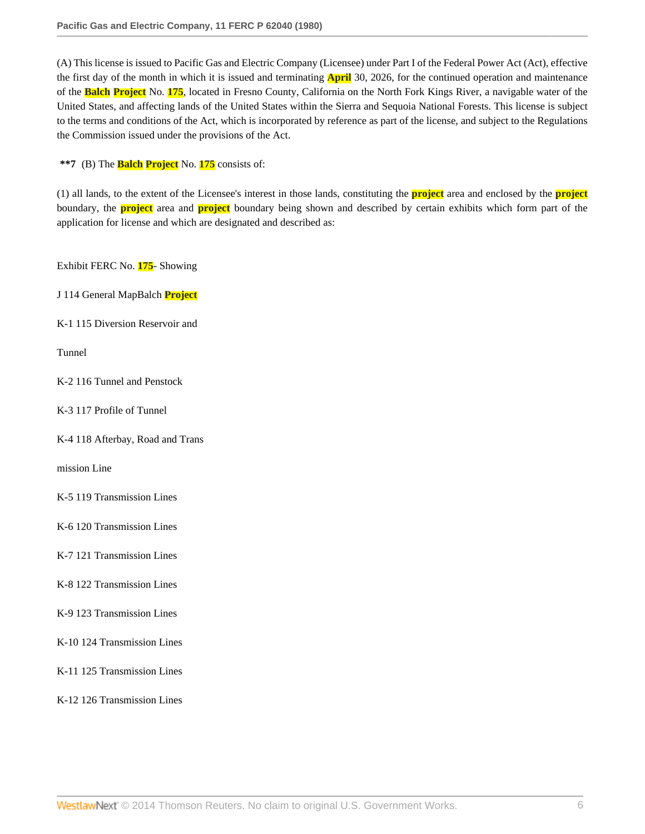(A) This license is issued to Pacific Gas and Electric Company (Licensee) under Part I of the Federal Power Act (Act), effective the first day of the month in which it is issued and terminating **April** 30, 2026, for the continued operation and maintenance of the **Balch Project** No. **175**, located in Fresno County, California on the North Fork Kings River, a navigable water of the United States, and affecting lands of the United States within the Sierra and Sequoia National Forests. This license is subject to the terms and conditions of the Act, which is incorporated by reference as part of the license, and subject to the Regulations the Commission issued under the provisions of the Act.

**\*\*7** (B) The **Balch Project** No. **175** consists of:

(1) all lands, to the extent of the Licensee's interest in those lands, constituting the **project** area and enclosed by the **project** boundary, the **project** area and **project** boundary being shown and described by certain exhibits which form part of the application for license and which are designated and described as:

Exhibit FERC No. **175**- Showing

J 114 General MapBalch **Project**

K-1 115 Diversion Reservoir and

Tunnel

K-2 116 Tunnel and Penstock

K-3 117 Profile of Tunnel

K-4 118 Afterbay, Road and Trans

mission Line

K-5 119 Transmission Lines

K-6 120 Transmission Lines

K-7 121 Transmission Lines

K-8 122 Transmission Lines

K-9 123 Transmission Lines

K-10 124 Transmission Lines

K-11 125 Transmission Lines

K-12 126 Transmission Lines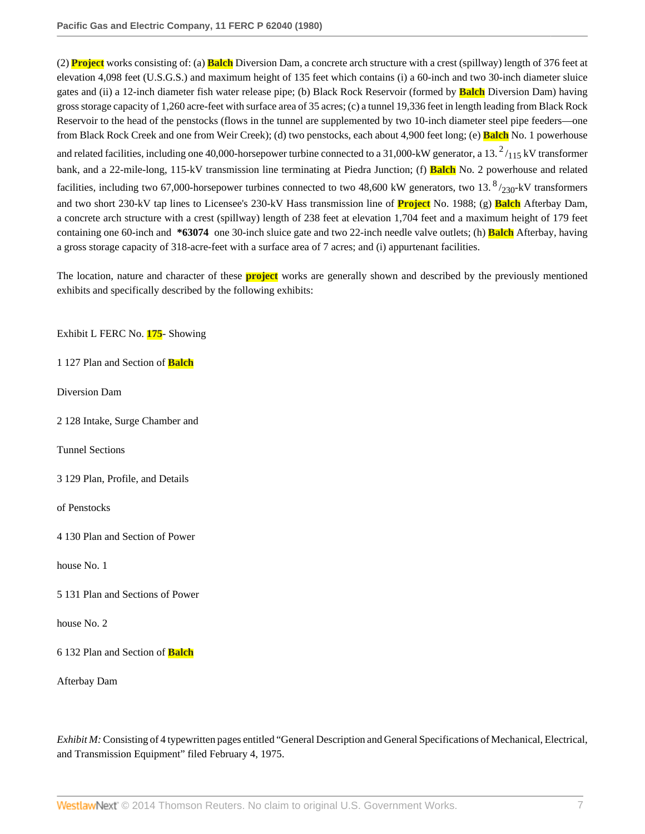(2) **Project** works consisting of: (a) **Balch** Diversion Dam, a concrete arch structure with a crest (spillway) length of 376 feet at elevation 4,098 feet (U.S.G.S.) and maximum height of 135 feet which contains (i) a 60-inch and two 30-inch diameter sluice gates and (ii) a 12-inch diameter fish water release pipe; (b) Black Rock Reservoir (formed by **Balch** Diversion Dam) having gross storage capacity of 1,260 acre-feet with surface area of 35 acres; (c) a tunnel 19,336 feet in length leading from Black Rock Reservoir to the head of the penstocks (flows in the tunnel are supplemented by two 10-inch diameter steel pipe feeders—one from Black Rock Creek and one from Weir Creek); (d) two penstocks, each about 4,900 feet long; (e) **Balch** No. 1 powerhouse and related facilities, including one 40,000-horsepower turbine connected to a 31,000-kW generator, a 13.  $^2/_{115}$  kV transformer bank, and a 22-mile-long, 115-kV transmission line terminating at Piedra Junction; (f) **Balch** No. 2 powerhouse and related facilities, including two 67,000-horsepower turbines connected to two 48,600 kW generators, two 13.  $\frac{8}{230}$ -kV transformers and two short 230-kV tap lines to Licensee's 230-kV Hass transmission line of **Project** No. 1988; (g) **Balch** Afterbay Dam, a concrete arch structure with a crest (spillway) length of 238 feet at elevation 1,704 feet and a maximum height of 179 feet containing one 60-inch and **\*63074** one 30-inch sluice gate and two 22-inch needle valve outlets; (h) **Balch** Afterbay, having a gross storage capacity of 318-acre-feet with a surface area of 7 acres; and (i) appurtenant facilities.

The location, nature and character of these **project** works are generally shown and described by the previously mentioned exhibits and specifically described by the following exhibits:

Exhibit L FERC No. **175**- Showing

1 127 Plan and Section of **Balch**

Diversion Dam

2 128 Intake, Surge Chamber and

Tunnel Sections

3 129 Plan, Profile, and Details

of Penstocks

4 130 Plan and Section of Power

house No. 1

5 131 Plan and Sections of Power

house No. 2

6 132 Plan and Section of **Balch**

Afterbay Dam

*Exhibit M:* Consisting of 4 typewritten pages entitled "General Description and General Specifications of Mechanical, Electrical, and Transmission Equipment" filed February 4, 1975.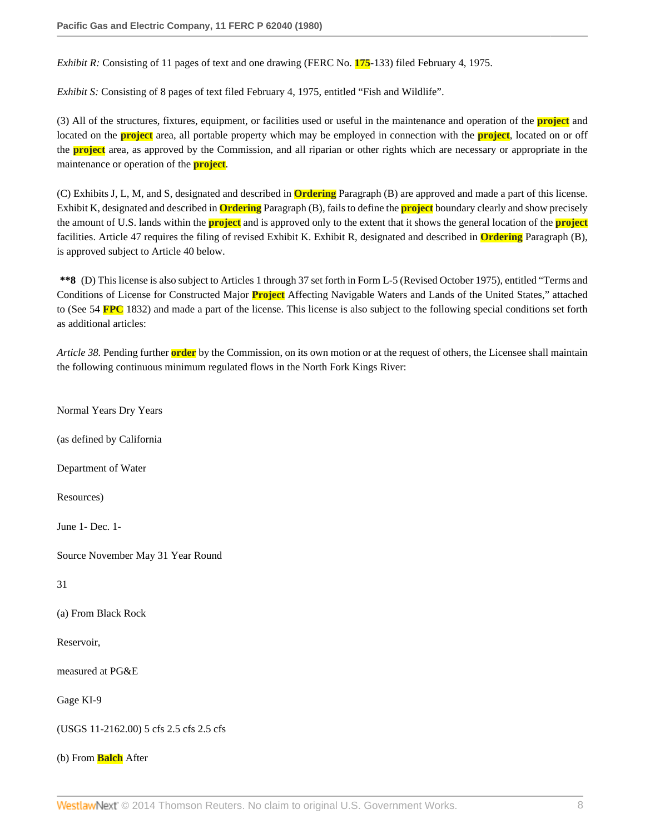*Exhibit R:* Consisting of 11 pages of text and one drawing (FERC No. **175**-133) filed February 4, 1975.

*Exhibit S:* Consisting of 8 pages of text filed February 4, 1975, entitled "Fish and Wildlife".

(3) All of the structures, fixtures, equipment, or facilities used or useful in the maintenance and operation of the **project** and located on the **project** area, all portable property which may be employed in connection with the **project**, located on or off the **project** area, as approved by the Commission, and all riparian or other rights which are necessary or appropriate in the maintenance or operation of the **project**.

(C) Exhibits J, L, M, and S, designated and described in **Ordering** Paragraph (B) are approved and made a part of this license. Exhibit K, designated and described in **Ordering** Paragraph (B), fails to define the **project** boundary clearly and show precisely the amount of U.S. lands within the **project** and is approved only to the extent that it shows the general location of the **project** facilities. Article 47 requires the filing of revised Exhibit K. Exhibit R, designated and described in **Ordering** Paragraph (B), is approved subject to Article 40 below.

**\*\*8** (D) This license is also subject to Articles 1 through 37 set forth in Form L-5 (Revised October 1975), entitled "Terms and Conditions of License for Constructed Major **Project** Affecting Navigable Waters and Lands of the United States," attached to (See 54 **FPC** 1832) and made a part of the license. This license is also subject to the following special conditions set forth as additional articles:

*Article 38.* Pending further **order** by the Commission, on its own motion or at the request of others, the Licensee shall maintain the following continuous minimum regulated flows in the North Fork Kings River:

Normal Years Dry Years

(as defined by California

Department of Water

Resources)

June 1- Dec. 1-

Source November May 31 Year Round

31

(a) From Black Rock

Reservoir,

measured at PG&E

Gage KI-9

(USGS 11-2162.00) 5 cfs 2.5 cfs 2.5 cfs

(b) From **Balch** After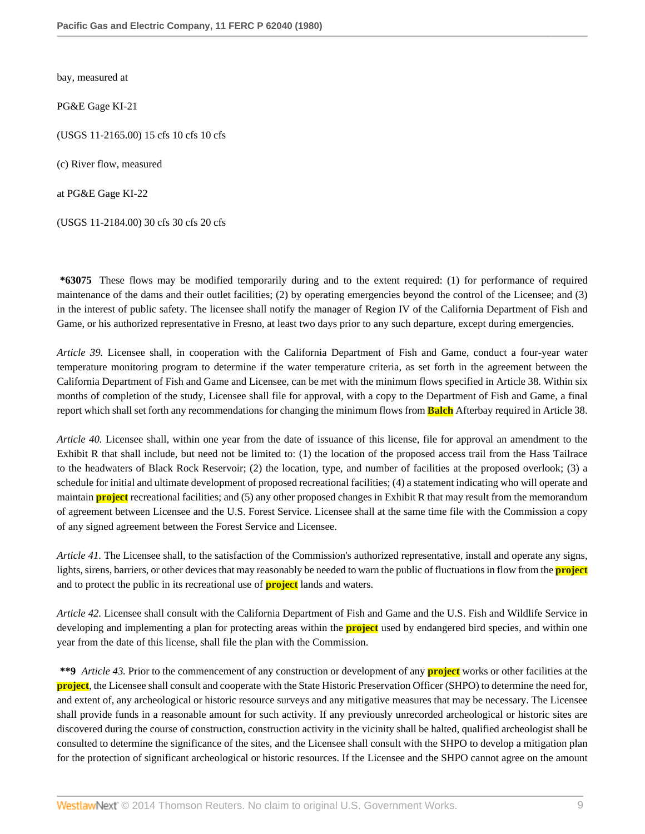bay, measured at

PG&E Gage KI-21

(USGS 11-2165.00) 15 cfs 10 cfs 10 cfs

(c) River flow, measured

at PG&E Gage KI-22

(USGS 11-2184.00) 30 cfs 30 cfs 20 cfs

**\*63075** These flows may be modified temporarily during and to the extent required: (1) for performance of required maintenance of the dams and their outlet facilities; (2) by operating emergencies beyond the control of the Licensee; and (3) in the interest of public safety. The licensee shall notify the manager of Region IV of the California Department of Fish and Game, or his authorized representative in Fresno, at least two days prior to any such departure, except during emergencies.

*Article 39.* Licensee shall, in cooperation with the California Department of Fish and Game, conduct a four-year water temperature monitoring program to determine if the water temperature criteria, as set forth in the agreement between the California Department of Fish and Game and Licensee, can be met with the minimum flows specified in Article 38. Within six months of completion of the study, Licensee shall file for approval, with a copy to the Department of Fish and Game, a final report which shall set forth any recommendations for changing the minimum flows from **Balch** Afterbay required in Article 38.

*Article 40.* Licensee shall, within one year from the date of issuance of this license, file for approval an amendment to the Exhibit R that shall include, but need not be limited to: (1) the location of the proposed access trail from the Hass Tailrace to the headwaters of Black Rock Reservoir; (2) the location, type, and number of facilities at the proposed overlook; (3) a schedule for initial and ultimate development of proposed recreational facilities; (4) a statement indicating who will operate and maintain **project** recreational facilities; and (5) any other proposed changes in Exhibit R that may result from the memorandum of agreement between Licensee and the U.S. Forest Service. Licensee shall at the same time file with the Commission a copy of any signed agreement between the Forest Service and Licensee.

*Article 41.* The Licensee shall, to the satisfaction of the Commission's authorized representative, install and operate any signs, lights, sirens, barriers, or other devices that may reasonably be needed to warn the public of fluctuations in flow from the **project** and to protect the public in its recreational use of **project** lands and waters.

*Article 42.* Licensee shall consult with the California Department of Fish and Game and the U.S. Fish and Wildlife Service in developing and implementing a plan for protecting areas within the **project** used by endangered bird species, and within one year from the date of this license, shall file the plan with the Commission.

**\*\*9** *Article 43.* Prior to the commencement of any construction or development of any **project** works or other facilities at the **project**, the Licensee shall consult and cooperate with the State Historic Preservation Officer (SHPO) to determine the need for, and extent of, any archeological or historic resource surveys and any mitigative measures that may be necessary. The Licensee shall provide funds in a reasonable amount for such activity. If any previously unrecorded archeological or historic sites are discovered during the course of construction, construction activity in the vicinity shall be halted, qualified archeologist shall be consulted to determine the significance of the sites, and the Licensee shall consult with the SHPO to develop a mitigation plan for the protection of significant archeological or historic resources. If the Licensee and the SHPO cannot agree on the amount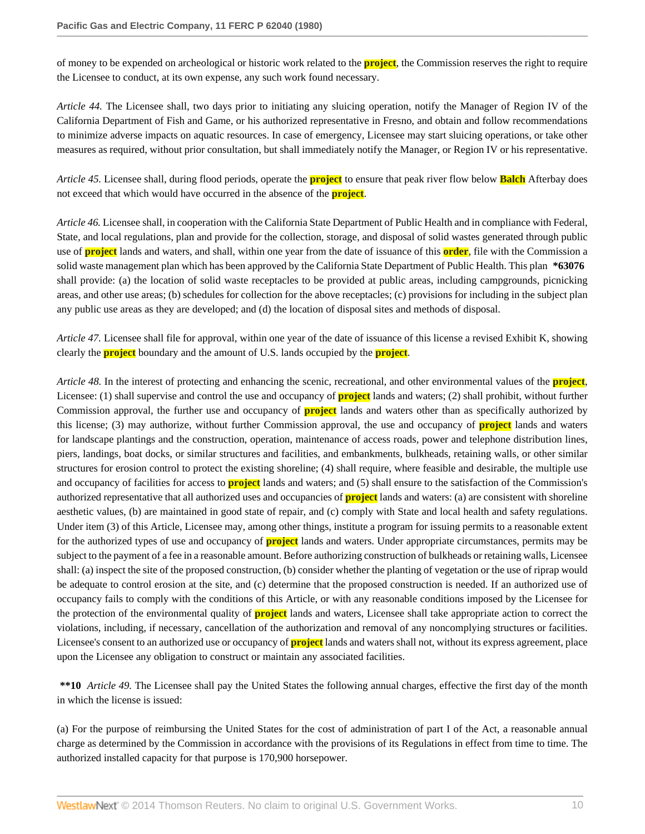of money to be expended on archeological or historic work related to the **project**, the Commission reserves the right to require the Licensee to conduct, at its own expense, any such work found necessary.

*Article 44.* The Licensee shall, two days prior to initiating any sluicing operation, notify the Manager of Region IV of the California Department of Fish and Game, or his authorized representative in Fresno, and obtain and follow recommendations to minimize adverse impacts on aquatic resources. In case of emergency, Licensee may start sluicing operations, or take other measures as required, without prior consultation, but shall immediately notify the Manager, or Region IV or his representative.

*Article 45.* Licensee shall, during flood periods, operate the **project** to ensure that peak river flow below **Balch** Afterbay does not exceed that which would have occurred in the absence of the **project**.

*Article 46.* Licensee shall, in cooperation with the California State Department of Public Health and in compliance with Federal, State, and local regulations, plan and provide for the collection, storage, and disposal of solid wastes generated through public use of **project** lands and waters, and shall, within one year from the date of issuance of this **order**, file with the Commission a solid waste management plan which has been approved by the California State Department of Public Health. This plan **\*63076** shall provide: (a) the location of solid waste receptacles to be provided at public areas, including campgrounds, picnicking areas, and other use areas; (b) schedules for collection for the above receptacles; (c) provisions for including in the subject plan any public use areas as they are developed; and (d) the location of disposal sites and methods of disposal.

*Article 47.* Licensee shall file for approval, within one year of the date of issuance of this license a revised Exhibit K, showing clearly the **project** boundary and the amount of U.S. lands occupied by the **project**.

*Article 48.* In the interest of protecting and enhancing the scenic, recreational, and other environmental values of the **project**, Licensee: (1) shall supervise and control the use and occupancy of **project** lands and waters; (2) shall prohibit, without further Commission approval, the further use and occupancy of **project** lands and waters other than as specifically authorized by this license; (3) may authorize, without further Commission approval, the use and occupancy of **project** lands and waters for landscape plantings and the construction, operation, maintenance of access roads, power and telephone distribution lines, piers, landings, boat docks, or similar structures and facilities, and embankments, bulkheads, retaining walls, or other similar structures for erosion control to protect the existing shoreline; (4) shall require, where feasible and desirable, the multiple use and occupancy of facilities for access to **project** lands and waters; and (5) shall ensure to the satisfaction of the Commission's authorized representative that all authorized uses and occupancies of **project** lands and waters: (a) are consistent with shoreline aesthetic values, (b) are maintained in good state of repair, and (c) comply with State and local health and safety regulations. Under item (3) of this Article, Licensee may, among other things, institute a program for issuing permits to a reasonable extent for the authorized types of use and occupancy of **project** lands and waters. Under appropriate circumstances, permits may be subject to the payment of a fee in a reasonable amount. Before authorizing construction of bulkheads or retaining walls, Licensee shall: (a) inspect the site of the proposed construction, (b) consider whether the planting of vegetation or the use of riprap would be adequate to control erosion at the site, and (c) determine that the proposed construction is needed. If an authorized use of occupancy fails to comply with the conditions of this Article, or with any reasonable conditions imposed by the Licensee for the protection of the environmental quality of **project** lands and waters, Licensee shall take appropriate action to correct the violations, including, if necessary, cancellation of the authorization and removal of any noncomplying structures or facilities. Licensee's consent to an authorized use or occupancy of **project** lands and waters shall not, without its express agreement, place upon the Licensee any obligation to construct or maintain any associated facilities.

**\*\*10** *Article 49.* The Licensee shall pay the United States the following annual charges, effective the first day of the month in which the license is issued:

(a) For the purpose of reimbursing the United States for the cost of administration of part I of the Act, a reasonable annual charge as determined by the Commission in accordance with the provisions of its Regulations in effect from time to time. The authorized installed capacity for that purpose is 170,900 horsepower.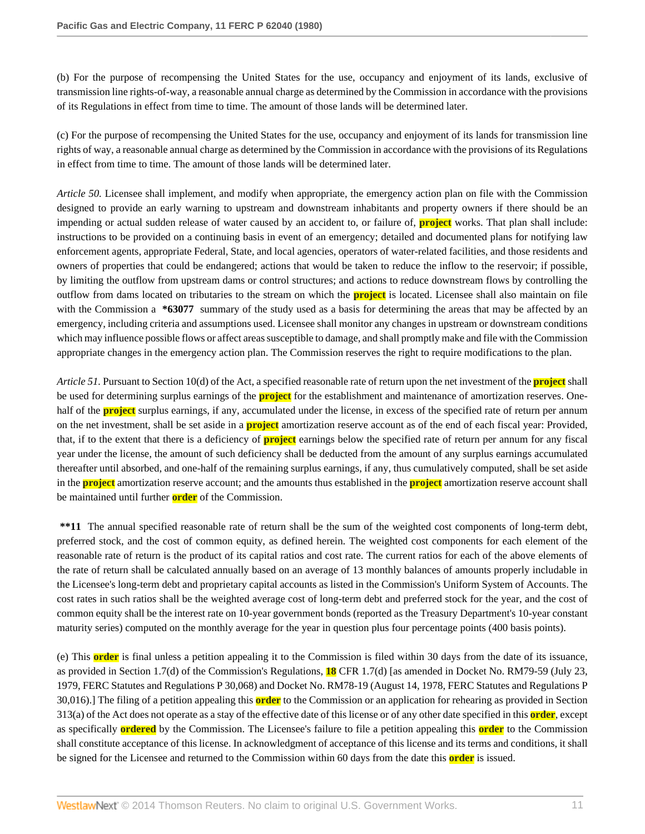(b) For the purpose of recompensing the United States for the use, occupancy and enjoyment of its lands, exclusive of transmission line rights-of-way, a reasonable annual charge as determined by the Commission in accordance with the provisions of its Regulations in effect from time to time. The amount of those lands will be determined later.

(c) For the purpose of recompensing the United States for the use, occupancy and enjoyment of its lands for transmission line rights of way, a reasonable annual charge as determined by the Commission in accordance with the provisions of its Regulations in effect from time to time. The amount of those lands will be determined later.

*Article 50.* Licensee shall implement, and modify when appropriate, the emergency action plan on file with the Commission designed to provide an early warning to upstream and downstream inhabitants and property owners if there should be an impending or actual sudden release of water caused by an accident to, or failure of, **project** works. That plan shall include: instructions to be provided on a continuing basis in event of an emergency; detailed and documented plans for notifying law enforcement agents, appropriate Federal, State, and local agencies, operators of water-related facilities, and those residents and owners of properties that could be endangered; actions that would be taken to reduce the inflow to the reservoir; if possible, by limiting the outflow from upstream dams or control structures; and actions to reduce downstream flows by controlling the outflow from dams located on tributaries to the stream on which the **project** is located. Licensee shall also maintain on file with the Commission a \*63077 summary of the study used as a basis for determining the areas that may be affected by an emergency, including criteria and assumptions used. Licensee shall monitor any changes in upstream or downstream conditions which may influence possible flows or affect areas susceptible to damage, and shall promptly make and file with the Commission appropriate changes in the emergency action plan. The Commission reserves the right to require modifications to the plan.

*Article 51.* Pursuant to Section 10(d) of the Act, a specified reasonable rate of return upon the net investment of the **project** shall be used for determining surplus earnings of the **project** for the establishment and maintenance of amortization reserves. Onehalf of the **project** surplus earnings, if any, accumulated under the license, in excess of the specified rate of return per annum on the net investment, shall be set aside in a **project** amortization reserve account as of the end of each fiscal year: Provided, that, if to the extent that there is a deficiency of **project** earnings below the specified rate of return per annum for any fiscal year under the license, the amount of such deficiency shall be deducted from the amount of any surplus earnings accumulated thereafter until absorbed, and one-half of the remaining surplus earnings, if any, thus cumulatively computed, shall be set aside in the **project** amortization reserve account; and the amounts thus established in the **project** amortization reserve account shall be maintained until further **order** of the Commission.

**\*\*11** The annual specified reasonable rate of return shall be the sum of the weighted cost components of long-term debt, preferred stock, and the cost of common equity, as defined herein. The weighted cost components for each element of the reasonable rate of return is the product of its capital ratios and cost rate. The current ratios for each of the above elements of the rate of return shall be calculated annually based on an average of 13 monthly balances of amounts properly includable in the Licensee's long-term debt and proprietary capital accounts as listed in the Commission's Uniform System of Accounts. The cost rates in such ratios shall be the weighted average cost of long-term debt and preferred stock for the year, and the cost of common equity shall be the interest rate on 10-year government bonds (reported as the Treasury Department's 10-year constant maturity series) computed on the monthly average for the year in question plus four percentage points (400 basis points).

(e) This **order** is final unless a petition appealing it to the Commission is filed within 30 days from the date of its issuance, as provided in Section 1.7(d) of the Commission's Regulations, **18** CFR 1.7(d) [as amended in Docket No. RM79-59 (July 23, 1979, FERC Statutes and Regulations P 30,068) and Docket No. RM78-19 (August 14, 1978, FERC Statutes and Regulations P 30,016).] The filing of a petition appealing this **order** to the Commission or an application for rehearing as provided in Section 313(a) of the Act does not operate as a stay of the effective date of this license or of any other date specified in this **order**, except as specifically **ordered** by the Commission. The Licensee's failure to file a petition appealing this **order** to the Commission shall constitute acceptance of this license. In acknowledgment of acceptance of this license and its terms and conditions, it shall be signed for the Licensee and returned to the Commission within 60 days from the date this **order** is issued.